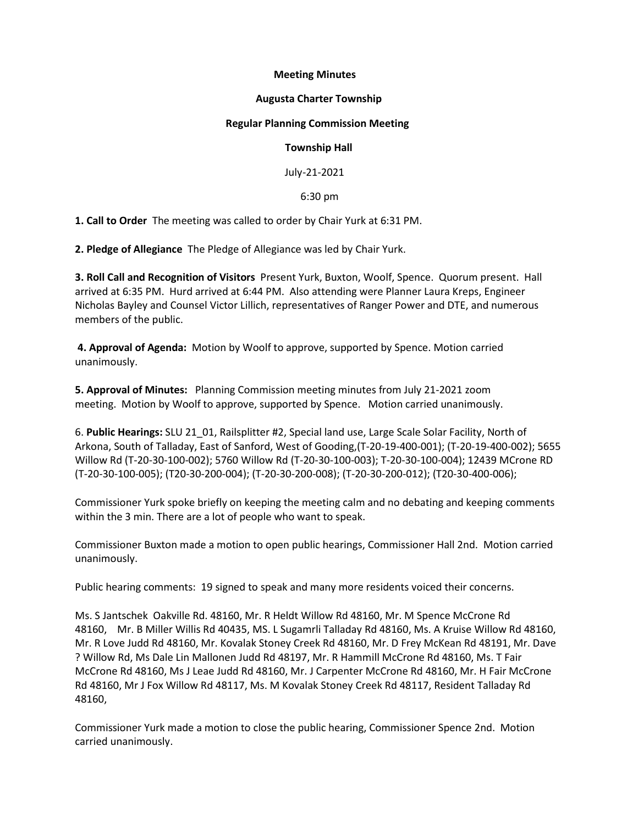# **Meeting Minutes**

# **Augusta Charter Township**

#### **Regular Planning Commission Meeting**

# **Township Hall**

July-21-2021

6:30 pm

**1. Call to Order** The meeting was called to order by Chair Yurk at 6:31 PM.

**2. Pledge of Allegiance** The Pledge of Allegiance was led by Chair Yurk.

**3. Roll Call and Recognition of Visitors** Present Yurk, Buxton, Woolf, Spence. Quorum present. Hall arrived at 6:35 PM. Hurd arrived at 6:44 PM. Also attending were Planner Laura Kreps, Engineer Nicholas Bayley and Counsel Victor Lillich, representatives of Ranger Power and DTE, and numerous members of the public.

**4. Approval of Agenda:** Motion by Woolf to approve, supported by Spence. Motion carried unanimously.

**5. Approval of Minutes:** Planning Commission meeting minutes from July 21-2021 zoom meeting. Motion by Woolf to approve, supported by Spence. Motion carried unanimously.

6. **Public Hearings:** SLU 21\_01, Railsplitter #2, Special land use, Large Scale Solar Facility, North of Arkona, South of Talladay, East of Sanford, West of Gooding,(T-20-19-400-001); (T-20-19-400-002); 5655 Willow Rd (T-20-30-100-002); 5760 Willow Rd (T-20-30-100-003); T-20-30-100-004); 12439 MCrone RD (T-20-30-100-005); (T20-30-200-004); (T-20-30-200-008); (T-20-30-200-012); (T20-30-400-006);

Commissioner Yurk spoke briefly on keeping the meeting calm and no debating and keeping comments within the 3 min. There are a lot of people who want to speak.

Commissioner Buxton made a motion to open public hearings, Commissioner Hall 2nd. Motion carried unanimously.

Public hearing comments: 19 signed to speak and many more residents voiced their concerns.

Ms. S Jantschek Oakville Rd. 48160, Mr. R Heldt Willow Rd 48160, Mr. M Spence McCrone Rd 48160, Mr. B Miller Willis Rd 40435, MS. L Sugamrli Talladay Rd 48160, Ms. A Kruise Willow Rd 48160, Mr. R Love Judd Rd 48160, Mr. Kovalak Stoney Creek Rd 48160, Mr. D Frey McKean Rd 48191, Mr. Dave ? Willow Rd, Ms Dale Lin Mallonen Judd Rd 48197, Mr. R Hammill McCrone Rd 48160, Ms. T Fair McCrone Rd 48160, Ms J Leae Judd Rd 48160, Mr. J Carpenter McCrone Rd 48160, Mr. H Fair McCrone Rd 48160, Mr J Fox Willow Rd 48117, Ms. M Kovalak Stoney Creek Rd 48117, Resident Talladay Rd 48160,

Commissioner Yurk made a motion to close the public hearing, Commissioner Spence 2nd. Motion carried unanimously.